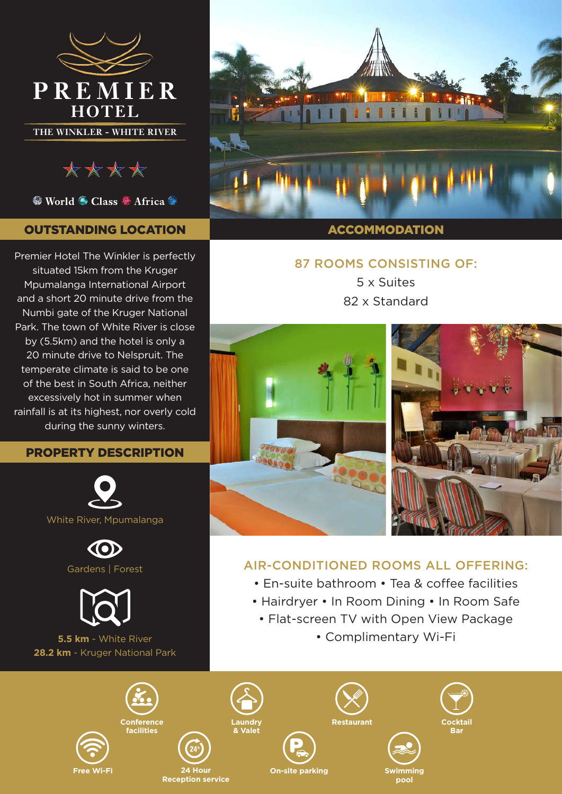



● World ● Class ● Africa ●

# OUTSTANDING LOCATION

Premier Hotel The Winkler is perfectly situated 15km from the Kruger Mpumalanga International Airport and a short 20 minute drive from the Numbi gate of the Kruger National Park. The town of White River is close by (5.5km) and the hotel is only a 20 minute drive to Nelspruit. The temperate climate is said to be one of the best in South Africa, neither excessively hot in summer when rainfall is at its highest, nor overly cold during the sunny winters.

### PROPERTY DESCRIPTION







**5.5 km** - White River **28.2 km** - Kruger National Park

> **Conference facilities**

**Free Wi-Fi**



#### **ACCOMMODATION**

## 87 ROOMS CONSISTING OF:

5 x Suites 82 x Standard



# AIR-CONDITIONED ROOMS ALL OFFERING:

- En-suite bathroom Tea & coffee facilities
- Hairdryer In Room Dining In Room Safe
	- Flat-screen TV with Open View Package
		- Complimentary Wi-Fi

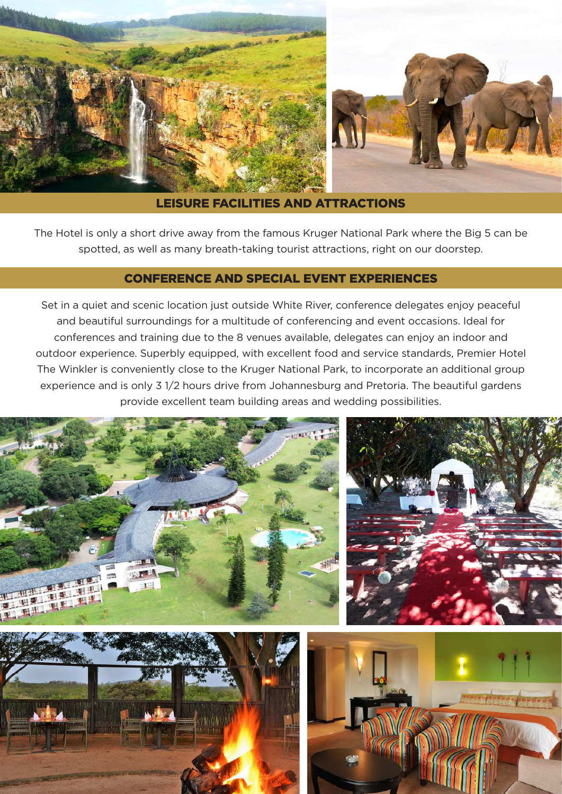

#### LEISURE FACILITIES AND ATTRACTIONS

The Hotel is only a short drive away from the famous Kruger National Park where the Big 5 can be spotted, as well as many breath-taking tourist attractions, right on our doorstep.

#### CONFERENCE AND SPECIAL EVENT EXPERIENCES

Set in a quiet and scenic location just outside White River, conference delegates enjoy peaceful and beautiful surroundings for a multitude of conferencing and event occasions. Ideal for conferences and training due to the 8 venues available, delegates can enjoy an indoor and outdoor experience. Superbly equipped, with excellent food and service standards, Premier Hotel The Winkler is conveniently close to the Kruger National Park, to incorporate an additional group experience and is only 3 1/2 hours drive from Johannesburg and Pretoria. The beautiful gardens provide excellent team building areas and wedding possibilities.